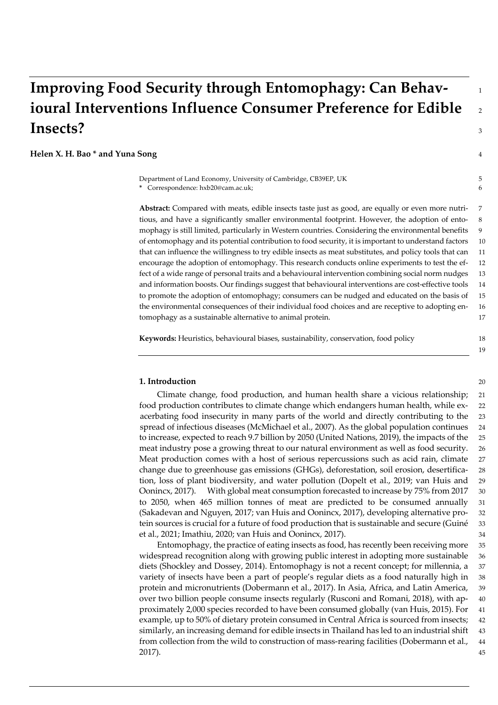# **Improving Food Security through Entomophagy: Can Behav-** <sup>1</sup> **ioural Interventions Influence Consumer Preference for Edible** <sup>2</sup> **Insects?** <sup>3</sup>

### **Helen X. H. Bao \* and Yuna Song** 4

Department of Land Economy, University of Cambridge, CB39EP, UK 5 **\*** Correspondence: hxb20@cam.ac.uk; 6

**Abstract:** Compared with meats, edible insects taste just as good, are equally or even more nutri- 7 tious, and have a significantly smaller environmental footprint. However, the adoption of ento- 8 mophagy is still limited, particularly in Western countries. Considering the environmental benefits 9 of entomophagy and its potential contribution to food security, it is important to understand factors 10 that can influence the willingness to try edible insects as meat substitutes, and policy tools that can 11 encourage the adoption of entomophagy. This research conducts online experiments to test the ef- 12 fect of a wide range of personal traits and a behavioural intervention combining social norm nudges 13 and information boosts. Our findings suggest that behavioural interventions are cost-effective tools 14 to promote the adoption of entomophagy; consumers can be nudged and educated on the basis of 15 the environmental consequences of their individual food choices and are receptive to adopting en- 16 tomophagy as a sustainable alternative to animal protein. 17

19

**Keywords:** Heuristics, behavioural biases, sustainability, conservation, food policy 18

# **1. Introduction** 20

Climate change, food production, and human health share a vicious relationship; 21 food production contributes to climate change which endangers human health, while ex- 22 acerbating food insecurity in many parts of the world and directly contributing to the 23 spread of infectious diseases (McMichael et al., 2007). As the global population continues 24 to increase, expected to reach 9.7 billion by 2050 (United Nations, 2019), the impacts of the 25 meat industry pose a growing threat to our natural environment as well as food security. 26 Meat production comes with a host of serious repercussions such as acid rain, climate 27 change due to greenhouse gas emissions (GHGs), deforestation, soil erosion, desertifica- 28 tion, loss of plant biodiversity, and water pollution (Dopelt et al., 2019; van Huis and 29 Oonincx, 2017). With global meat consumption forecasted to increase by 75% from 2017 30 to 2050, when 465 million tonnes of meat are predicted to be consumed annually 31 (Sakadevan and Nguyen, 2017; van Huis and Oonincx, 2017), developing alternative pro- 32 tein sources is crucial for a future of food production that is sustainable and secure (Guiné 33 et al., 2021; Imathiu, 2020; van Huis and Oonincx, 2017). 34

Entomophagy, the practice of eating insects as food, has recently been receiving more 35 widespread recognition along with growing public interest in adopting more sustainable 36 diets (Shockley and Dossey, 2014). Entomophagy is not a recent concept; for millennia, a 37 variety of insects have been a part of people's regular diets as a food naturally high in 38 protein and micronutrients (Dobermann et al., 2017). In Asia, Africa, and Latin America, 39 over two billion people consume insects regularly (Rusconi and Romani, 2018), with ap- 40 proximately 2,000 species recorded to have been consumed globally (van Huis, 2015). For 41 example, up to 50% of dietary protein consumed in Central Africa is sourced from insects; 42 similarly, an increasing demand for edible insects in Thailand has led to an industrial shift 43 from collection from the wild to construction of mass-rearing facilities (Dobermann et al., 44 2017). 45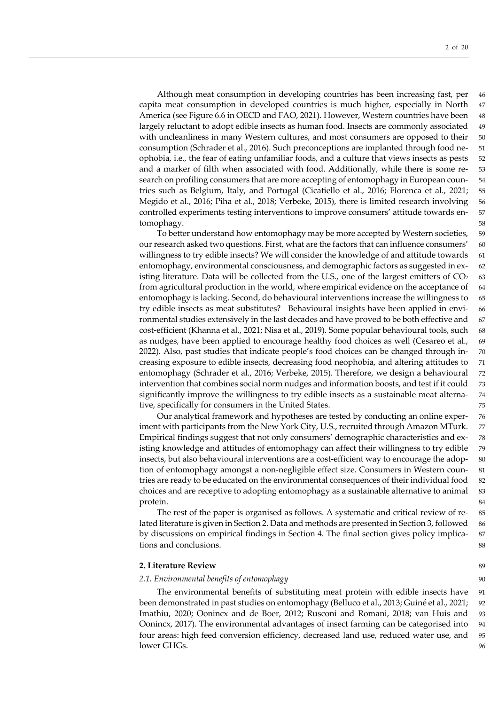Although meat consumption in developing countries has been increasing fast, per 46 capita meat consumption in developed countries is much higher, especially in North 47 America (see Figure 6.6 in OECD and FAO, 2021). However, Western countries have been 48 largely reluctant to adopt edible insects as human food. Insects are commonly associated 49 with uncleanliness in many Western cultures, and most consumers are opposed to their 50 consumption (Schrader et al., 2016). Such preconceptions are implanted through food ne- 51 ophobia, i.e., the fear of eating unfamiliar foods, and a culture that views insects as pests 52 and a marker of filth when associated with food. Additionally, while there is some re- 53 search on profiling consumers that are more accepting of entomophagy in European coun- 54 tries such as Belgium, Italy, and Portugal (Cicatiello et al., 2016; Florenca et al., 2021; 55 Megido et al., 2016; Piha et al., 2018; Verbeke, 2015), there is limited research involving 56 controlled experiments testing interventions to improve consumers' attitude towards en- 57 tomophagy. 58

To better understand how entomophagy may be more accepted by Western societies, 59 our research asked two questions. First, what are the factors that can influence consumers' 60 willingness to try edible insects? We will consider the knowledge of and attitude towards 61 entomophagy, environmental consciousness, and demographic factors as suggested in ex- 62 isting literature. Data will be collected from the U.S., one of the largest emitters of  $CO<sub>2</sub>$  63 from agricultural production in the world, where empirical evidence on the acceptance of 64 entomophagy is lacking. Second, do behavioural interventions increase the willingness to 65 try edible insects as meat substitutes? Behavioural insights have been applied in envi- 66 ronmental studies extensively in the last decades and have proved to be both effective and 67 cost-efficient (Khanna et al., 2021; Nisa et al., 2019). Some popular behavioural tools, such 68 as nudges, have been applied to encourage healthy food choices as well (Cesareo et al., 69 2022). Also, past studies that indicate people's food choices can be changed through in- 70 creasing exposure to edible insects, decreasing food neophobia, and altering attitudes to 71 entomophagy (Schrader et al., 2016; Verbeke, 2015). Therefore, we design a behavioural 72 intervention that combines social norm nudges and information boosts, and test if it could 73 significantly improve the willingness to try edible insects as a sustainable meat alterna- 74 tive, specifically for consumers in the United States. 75

Our analytical framework and hypotheses are tested by conducting an online exper- 76 iment with participants from the New York City, U.S., recruited through Amazon MTurk. 77 Empirical findings suggest that not only consumers' demographic characteristics and ex- 78 isting knowledge and attitudes of entomophagy can affect their willingness to try edible 79 insects, but also behavioural interventions are a cost-efficient way to encourage the adop- 80 tion of entomophagy amongst a non-negligible effect size. Consumers in Western coun- 81 tries are ready to be educated on the environmental consequences of their individual food 82 choices and are receptive to adopting entomophagy as a sustainable alternative to animal 83 protein. 84

The rest of the paper is organised as follows. A systematic and critical review of re- 85 lated literature is given in Section 2. Data and methods are presented in Section 3, followed 86 by discussions on empirical findings in Section 4. The final section gives policy implica- 87 tions and conclusions. 88

# **2. Literature Review** 89

### *2.1. Environmental benefits of entomophagy* 90

The environmental benefits of substituting meat protein with edible insects have 91 been demonstrated in past studies on entomophagy (Belluco et al., 2013; Guiné et al., 2021; 92 Imathiu, 2020; Oonincx and de Boer, 2012; Rusconi and Romani, 2018; van Huis and 93 Oonincx, 2017). The environmental advantages of insect farming can be categorised into 94 four areas: high feed conversion efficiency, decreased land use, reduced water use, and 95 lower GHGs. 96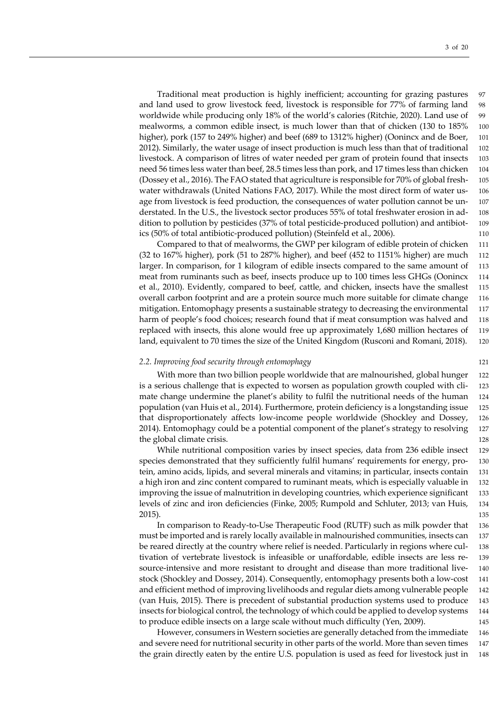Traditional meat production is highly inefficient; accounting for grazing pastures 97 and land used to grow livestock feed, livestock is responsible for 77% of farming land 98 worldwide while producing only 18% of the world's calories (Ritchie, 2020). Land use of 99 mealworms, a common edible insect, is much lower than that of chicken (130 to 185% 100 higher), pork (157 to 249% higher) and beef (689 to 1312% higher) (Oonincx and de Boer, 101 2012). Similarly, the water usage of insect production is much less than that of traditional 102 livestock. A comparison of litres of water needed per gram of protein found that insects 103 need 56 times less water than beef, 28.5 times less than pork, and 17 times less than chicken 104 (Dossey et al., 2016). The FAO stated that agriculture is responsible for 70% of global fresh- 105 water withdrawals (United Nations FAO, 2017). While the most direct form of water us- 106 age from livestock is feed production, the consequences of water pollution cannot be un- 107 derstated. In the U.S., the livestock sector produces 55% of total freshwater erosion in ad- 108 dition to pollution by pesticides (37% of total pesticide-produced pollution) and antibiot- 109 ics (50% of total antibiotic-produced pollution) (Steinfeld et al., 2006). 110

Compared to that of mealworms, the GWP per kilogram of edible protein of chicken 111 (32 to 167% higher), pork (51 to 287% higher), and beef (452 to 1151% higher) are much 112 larger. In comparison, for 1 kilogram of edible insects compared to the same amount of 113 meat from ruminants such as beef, insects produce up to 100 times less GHGs (Oonincx 114 et al., 2010). Evidently, compared to beef, cattle, and chicken, insects have the smallest 115 overall carbon footprint and are a protein source much more suitable for climate change 116 mitigation. Entomophagy presents a sustainable strategy to decreasing the environmental 117 harm of people's food choices; research found that if meat consumption was halved and 118 replaced with insects, this alone would free up approximately 1,680 million hectares of 119 land, equivalent to 70 times the size of the United Kingdom (Rusconi and Romani, 2018). 120

### *2.2. Improving food security through entomophagy* 121

With more than two billion people worldwide that are malnourished, global hunger 122 is a serious challenge that is expected to worsen as population growth coupled with cli- 123 mate change undermine the planet's ability to fulfil the nutritional needs of the human 124 population (van Huis et al., 2014). Furthermore, protein deficiency is a longstanding issue 125 that disproportionately affects low-income people worldwide (Shockley and Dossey, 126 2014). Entomophagy could be a potential component of the planet's strategy to resolving 127 the global climate crisis. 128

While nutritional composition varies by insect species, data from 236 edible insect 129 species demonstrated that they sufficiently fulfil humans' requirements for energy, pro-<br>130 tein, amino acids, lipids, and several minerals and vitamins; in particular, insects contain 131 a high iron and zinc content compared to ruminant meats, which is especially valuable in 132 improving the issue of malnutrition in developing countries, which experience significant 133 levels of zinc and iron deficiencies (Finke, 2005; Rumpold and Schluter, 2013; van Huis, 134 2015). 135

In comparison to Ready-to-Use Therapeutic Food (RUTF) such as milk powder that 136 must be imported and is rarely locally available in malnourished communities, insects can 137 be reared directly at the country where relief is needed. Particularly in regions where cul- 138 tivation of vertebrate livestock is infeasible or unaffordable, edible insects are less re- 139 source-intensive and more resistant to drought and disease than more traditional live- 140 stock (Shockley and Dossey, 2014). Consequently, entomophagy presents both a low-cost 141 and efficient method of improving livelihoods and regular diets among vulnerable people 142 (van Huis, 2015). There is precedent of substantial production systems used to produce 143 insects for biological control, the technology of which could be applied to develop systems 144 to produce edible insects on a large scale without much difficulty (Yen, 2009). 145

However, consumers in Western societies are generally detached from the immediate 146 and severe need for nutritional security in other parts of the world. More than seven times 147 the grain directly eaten by the entire U.S. population is used as feed for livestock just in 148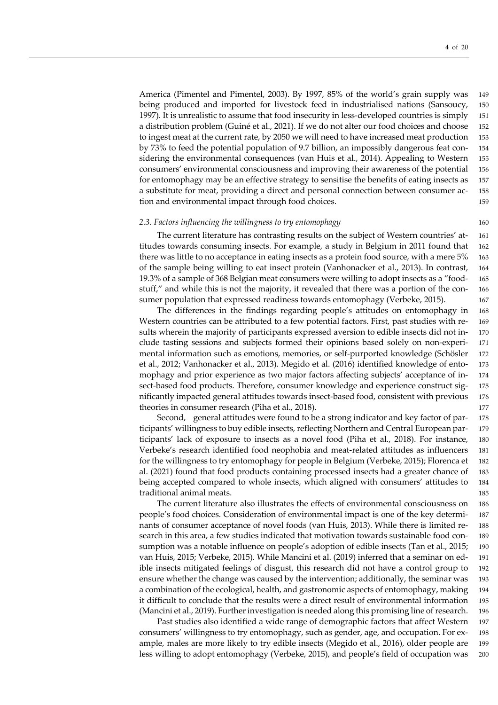America (Pimentel and Pimentel, 2003). By 1997, 85% of the world's grain supply was 149 being produced and imported for livestock feed in industrialised nations (Sansoucy, 150 1997). It is unrealistic to assume that food insecurity in less-developed countries is simply 151 a distribution problem (Guiné et al., 2021). If we do not alter our food choices and choose 152 to ingest meat at the current rate, by 2050 we will need to have increased meat production 153 by 73% to feed the potential population of 9.7 billion, an impossibly dangerous feat con- 154 sidering the environmental consequences (van Huis et al., 2014). Appealing to Western 155 consumers' environmental consciousness and improving their awareness of the potential 156 for entomophagy may be an effective strategy to sensitise the benefits of eating insects as 157 a substitute for meat, providing a direct and personal connection between consumer ac- 158 tion and environmental impact through food choices. 159

### *2.3. Factors influencing the willingness to try entomophagy* 160

The current literature has contrasting results on the subject of Western countries' at- 161 titudes towards consuming insects. For example, a study in Belgium in 2011 found that 162 there was little to no acceptance in eating insects as a protein food source, with a mere 5% 163 of the sample being willing to eat insect protein (Vanhonacker et al., 2013). In contrast, 164 19.3% of a sample of 368 Belgian meat consumers were willing to adopt insects as a "food- 165 stuff," and while this is not the majority, it revealed that there was a portion of the con- 166 sumer population that expressed readiness towards entomophagy (Verbeke, 2015). 167

The differences in the findings regarding people's attitudes on entomophagy in 168 Western countries can be attributed to a few potential factors. First, past studies with re- 169 sults wherein the majority of participants expressed aversion to edible insects did not in- 170 clude tasting sessions and subjects formed their opinions based solely on non-experi- 171 mental information such as emotions, memories, or self-purported knowledge (Schösler 172 et al., 2012; Vanhonacker et al., 2013). Megido et al. (2016) identified knowledge of ento- 173 mophagy and prior experience as two major factors affecting subjects' acceptance of in- 174 sect-based food products. Therefore, consumer knowledge and experience construct sig- 175 nificantly impacted general attitudes towards insect-based food, consistent with previous 176 theories in consumer research (Piha et al., 2018). 177

Second, general attitudes were found to be a strong indicator and key factor of par- 178 ticipants' willingness to buy edible insects, reflecting Northern and Central European par- 179 ticipants' lack of exposure to insects as a novel food (Piha et al., 2018). For instance, 180 Verbeke's research identified food neophobia and meat-related attitudes as influencers 181 for the willingness to try entomophagy for people in Belgium (Verbeke, 2015); Florenca et 182 al. (2021) found that food products containing processed insects had a greater chance of 183 being accepted compared to whole insects, which aligned with consumers' attitudes to 184 traditional animal meats. 185

The current literature also illustrates the effects of environmental consciousness on 186 people's food choices. Consideration of environmental impact is one of the key determi- 187 nants of consumer acceptance of novel foods (van Huis, 2013). While there is limited re- 188 search in this area, a few studies indicated that motivation towards sustainable food con- 189 sumption was a notable influence on people's adoption of edible insects (Tan et al., 2015; 190 van Huis, 2015; Verbeke, 2015). While Mancini et al. (2019) inferred that a seminar on ed- 191 ible insects mitigated feelings of disgust, this research did not have a control group to 192 ensure whether the change was caused by the intervention; additionally, the seminar was 193 a combination of the ecological, health, and gastronomic aspects of entomophagy, making 194 it difficult to conclude that the results were a direct result of environmental information 195 (Mancini et al., 2019). Further investigation is needed along this promising line of research. 196

Past studies also identified a wide range of demographic factors that affect Western 197 consumers' willingness to try entomophagy, such as gender, age, and occupation. For ex- 198 ample, males are more likely to try edible insects (Megido et al., 2016), older people are 199 less willing to adopt entomophagy (Verbeke, 2015), and people's field of occupation was 200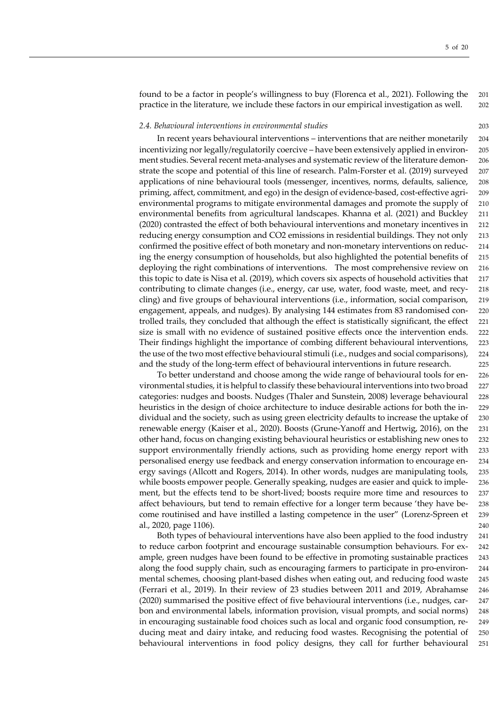found to be a factor in people's willingness to buy (Florenca et al., 2021). Following the 201 practice in the literature, we include these factors in our empirical investigation as well. 202

### *2.4. Behavioural interventions in environmental studies* 203

In recent years behavioural interventions – interventions that are neither monetarily 204 incentivizing nor legally/regulatorily coercive – have been extensively applied in environ- 205 ment studies. Several recent meta-analyses and systematic review of the literature demon- 206 strate the scope and potential of this line of research. Palm-Forster et al. (2019) surveyed 207 applications of nine behavioural tools (messenger, incentives, norms, defaults, salience, 208 priming, affect, commitment, and ego) in the design of evidence-based, cost-effective agri- 209 environmental programs to mitigate environmental damages and promote the supply of 210 environmental benefits from agricultural landscapes. Khanna et al. (2021) and Buckley 211 (2020) contrasted the effect of both behavioural interventions and monetary incentives in 212 reducing energy consumption and CO2 emissions in residential buildings. They not only 213 confirmed the positive effect of both monetary and non-monetary interventions on reduc- 214 ing the energy consumption of households, but also highlighted the potential benefits of 215 deploying the right combinations of interventions. The most comprehensive review on 216 this topic to date is Nisa et al. (2019), which covers six aspects of household activities that 217 contributing to climate changes (i.e., energy, car use, water, food waste, meet, and recy- 218 cling) and five groups of behavioural interventions (i.e., information, social comparison, 219 engagement, appeals, and nudges). By analysing 144 estimates from 83 randomised con- 220 trolled trails, they concluded that although the effect is statistically significant, the effect 221 size is small with no evidence of sustained positive effects once the intervention ends. 222 Their findings highlight the importance of combing different behavioural interventions, 223 the use of the two most effective behavioural stimuli (i.e., nudges and social comparisons), 224 and the study of the long-term effect of behavioural interventions in future research. 225

To better understand and choose among the wide range of behavioural tools for en- 226 vironmental studies, it is helpful to classify these behavioural interventions into two broad 227 categories: nudges and boosts. Nudges (Thaler and Sunstein, 2008) leverage behavioural 228 heuristics in the design of choice architecture to induce desirable actions for both the in- 229 dividual and the society, such as using green electricity defaults to increase the uptake of 230 renewable energy (Kaiser et al., 2020). Boosts (Grune-Yanoff and Hertwig, 2016), on the 231 other hand, focus on changing existing behavioural heuristics or establishing new ones to 232 support environmentally friendly actions, such as providing home energy report with 233 personalised energy use feedback and energy conservation information to encourage en- 234 ergy savings (Allcott and Rogers, 2014). In other words, nudges are manipulating tools, 235 while boosts empower people. Generally speaking, nudges are easier and quick to imple- 236 ment, but the effects tend to be short-lived; boosts require more time and resources to 237 affect behaviours, but tend to remain effective for a longer term because 'they have be- 238 come routinised and have instilled a lasting competence in the user" (Lorenz-Spreen et 239 al., 2020, page 1106). 240

Both types of behavioural interventions have also been applied to the food industry 241 to reduce carbon footprint and encourage sustainable consumption behaviours. For ex- 242 ample, green nudges have been found to be effective in promoting sustainable practices 243 along the food supply chain, such as encouraging farmers to participate in pro-environ- 244 mental schemes, choosing plant-based dishes when eating out, and reducing food waste 245 (Ferrari et al., 2019). In their review of 23 studies between 2011 and 2019, Abrahamse 246 (2020) summarised the positive effect of five behavioural interventions (i.e., nudges, car- 247 bon and environmental labels, information provision, visual prompts, and social norms) 248 in encouraging sustainable food choices such as local and organic food consumption, re- 249 ducing meat and dairy intake, and reducing food wastes. Recognising the potential of 250 behavioural interventions in food policy designs, they call for further behavioural 251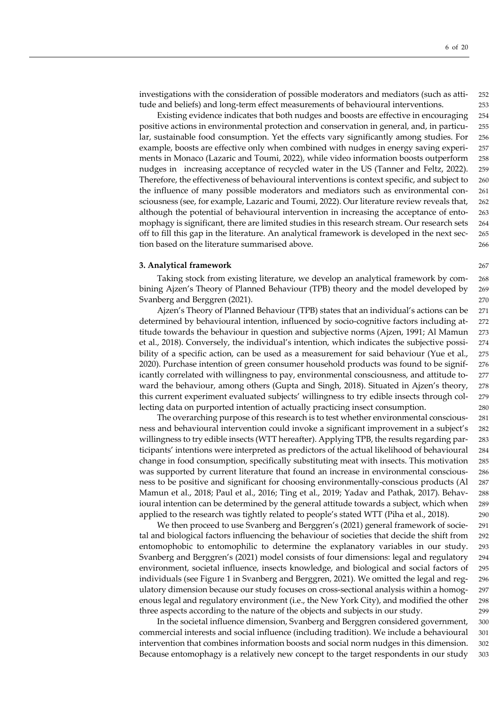investigations with the consideration of possible moderators and mediators (such as atti- 252 tude and beliefs) and long-term effect measurements of behavioural interventions. 253

Existing evidence indicates that both nudges and boosts are effective in encouraging 254 positive actions in environmental protection and conservation in general, and, in particu- 255 lar, sustainable food consumption. Yet the effects vary significantly among studies. For 256 example, boosts are effective only when combined with nudges in energy saving experi- 257 ments in Monaco (Lazaric and Toumi, 2022), while video information boosts outperform 258 nudges in increasing acceptance of recycled water in the US (Tanner and Feltz, 2022). 259 Therefore, the effectiveness of behavioural interventions is context specific, and subject to 260 the influence of many possible moderators and mediators such as environmental con- 261 sciousness (see, for example, Lazaric and Toumi, 2022). Our literature review reveals that, 262 although the potential of behavioural intervention in increasing the acceptance of ento- 263 mophagy is significant, there are limited studies in this research stream. Our research sets 264 off to fill this gap in the literature. An analytical framework is developed in the next sec- 265 tion based on the literature summarised above. 266

### **3. Analytical framework** 267

Taking stock from existing literature, we develop an analytical framework by com- 268 bining Ajzen's Theory of Planned Behaviour (TPB) theory and the model developed by 269 Svanberg and Berggren (2021). 270

Ajzen's Theory of Planned Behaviour (TPB) states that an individual's actions can be 271 determined by behavioural intention, influenced by socio-cognitive factors including at- 272 titude towards the behaviour in question and subjective norms (Ajzen, 1991; Al Mamun 273 et al., 2018). Conversely, the individual's intention, which indicates the subjective possi- 274 bility of a specific action, can be used as a measurement for said behaviour (Yue et al., 275) 2020). Purchase intention of green consumer household products was found to be signif- 276 icantly correlated with willingness to pay, environmental consciousness, and attitude to- 277 ward the behaviour, among others (Gupta and Singh, 2018). Situated in Ajzen's theory, 278 this current experiment evaluated subjects' willingness to try edible insects through col- 279 lecting data on purported intention of actually practicing insect consumption. 280

The overarching purpose of this research is to test whether environmental conscious- 281 ness and behavioural intervention could invoke a significant improvement in a subject's 282 willingness to try edible insects (WTT hereafter). Applying TPB, the results regarding par- 283 ticipants' intentions were interpreted as predictors of the actual likelihood of behavioural 284 change in food consumption, specifically substituting meat with insects. This motivation 285 was supported by current literature that found an increase in environmental conscious- 286 ness to be positive and significant for choosing environmentally-conscious products (Al 287 Mamun et al., 2018; Paul et al., 2016; Ting et al., 2019; Yadav and Pathak, 2017). Behav- 288 ioural intention can be determined by the general attitude towards a subject, which when 289 applied to the research was tightly related to people's stated WTT (Piha et al., 2018). 290

We then proceed to use Svanberg and Berggren's (2021) general framework of socie- 291 tal and biological factors influencing the behaviour of societies that decide the shift from 292 entomophobic to entomophilic to determine the explanatory variables in our study. 293 Svanberg and Berggren's (2021) model consists of four dimensions: legal and regulatory 294 environment, societal influence, insects knowledge, and biological and social factors of 295 individuals (see Figure 1 in Svanberg and Berggren, 2021). We omitted the legal and reg- 296 ulatory dimension because our study focuses on cross-sectional analysis within a homog- 297 enous legal and regulatory environment (i.e., the New York City), and modified the other 298 three aspects according to the nature of the objects and subjects in our study. 299

In the societal influence dimension, Svanberg and Berggren considered government, 300 commercial interests and social influence (including tradition). We include a behavioural 301 intervention that combines information boosts and social norm nudges in this dimension. 302 Because entomophagy is a relatively new concept to the target respondents in our study 303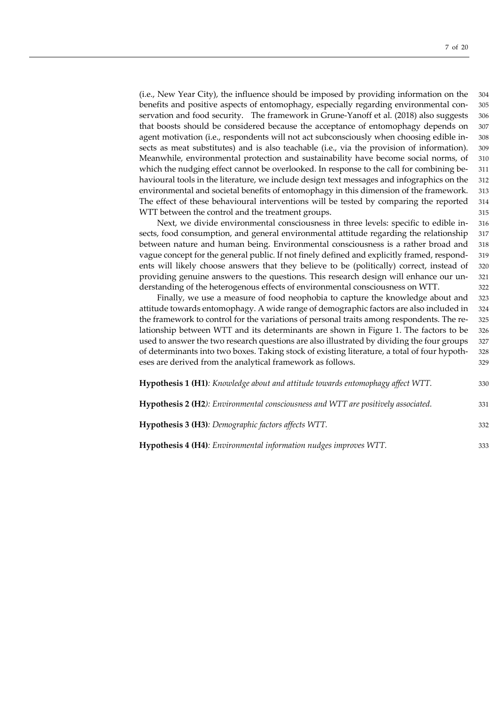(i.e., New Year City), the influence should be imposed by providing information on the 304 benefits and positive aspects of entomophagy, especially regarding environmental con- 305 servation and food security. The framework in Grune-Yanoff et al. (2018) also suggests 306 that boosts should be considered because the acceptance of entomophagy depends on 307 agent motivation (i.e., respondents will not act subconsciously when choosing edible in- 308 sects as meat substitutes) and is also teachable (i.e., via the provision of information). 309 Meanwhile, environmental protection and sustainability have become social norms, of 310 which the nudging effect cannot be overlooked. In response to the call for combining be-<br>
311 havioural tools in the literature, we include design text messages and infographics on the 312 environmental and societal benefits of entomophagy in this dimension of the framework. 313 The effect of these behavioural interventions will be tested by comparing the reported 314 WTT between the control and the treatment groups.  $315$ 

Next, we divide environmental consciousness in three levels: specific to edible in- 316 sects, food consumption, and general environmental attitude regarding the relationship 317 between nature and human being. Environmental consciousness is a rather broad and 318 vague concept for the general public. If not finely defined and explicitly framed, respond- 319 ents will likely choose answers that they believe to be (politically) correct, instead of 320 providing genuine answers to the questions. This research design will enhance our un- 321 derstanding of the heterogenous effects of environmental consciousness on WTT. 322

Finally, we use a measure of food neophobia to capture the knowledge about and 323 attitude towards entomophagy. A wide range of demographic factors are also included in 324 the framework to control for the variations of personal traits among respondents. The re- 325 lationship between WTT and its determinants are shown in Figure 1. The factors to be 326 used to answer the two research questions are also illustrated by dividing the four groups 327 of determinants into two boxes. Taking stock of existing literature, a total of four hypoth- 328 eses are derived from the analytical framework as follows. 329

| <b>Hypothesis 1 (H1)</b> : <i>Knowledge about and attitude towards entomophagy affect WTT.</i> | 330 |
|------------------------------------------------------------------------------------------------|-----|
| Hypothesis 2 (H2): Environmental consciousness and WTT are positively associated.              | 331 |
| Hypothesis 3 (H3): Demographic factors affects WTT.                                            | 332 |
| <b>Hypothesis 4 (H4)</b> : Environmental information nudges improves WTT.                      | 333 |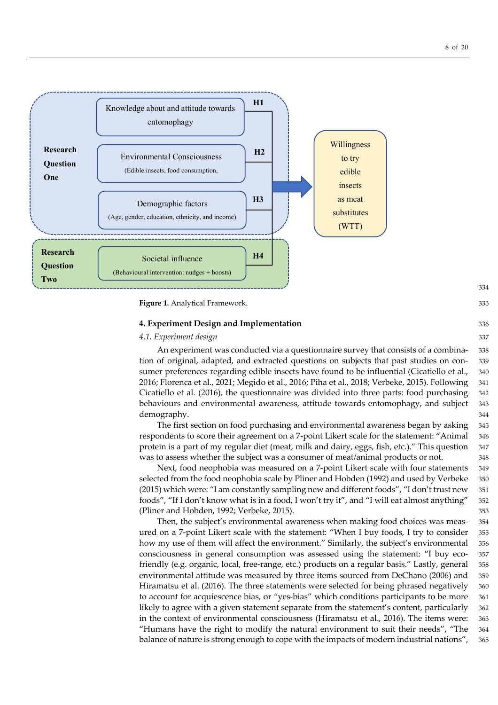

**Figure 1.** Analytical Framework. 335

# **4. Experiment Design and Implementation** 336

# *4.1. Experiment design* 337

An experiment was conducted via a questionnaire survey that consists of a combina- 338 tion of original, adapted, and extracted questions on subjects that past studies on con- 339 sumer preferences regarding edible insects have found to be influential (Cicatiello et al., 340) 2016; Florenca et al., 2021; Megido et al., 2016; Piha et al., 2018; Verbeke, 2015). Following 341 Cicatiello et al. (2016), the questionnaire was divided into three parts: food purchasing 342 behaviours and environmental awareness, attitude towards entomophagy, and subject 343 demography. 344

The first section on food purchasing and environmental awareness began by asking 345 respondents to score their agreement on a 7-point Likert scale for the statement: "Animal 346 protein is a part of my regular diet (meat, milk and dairy, eggs, fish, etc.)." This question 347 was to assess whether the subject was a consumer of meat/animal products or not.  $348$ 

Next, food neophobia was measured on a 7-point Likert scale with four statements 349 selected from the food neophobia scale by Pliner and Hobden (1992) and used by Verbeke 350 (2015) which were: "I am constantly sampling new and different foods", "I don't trust new 351 foods", "If I don't know what is in a food, I won't try it", and "I will eat almost anything" 352 (Pliner and Hobden, 1992; Verbeke, 2015). 353

Then, the subject's environmental awareness when making food choices was meas- 354 ured on a 7-point Likert scale with the statement: "When I buy foods, I try to consider 355 how my use of them will affect the environment." Similarly, the subject's environmental 356 consciousness in general consumption was assessed using the statement: "I buy eco- 357 friendly (e.g. organic, local, free-range, etc.) products on a regular basis." Lastly, general 358 environmental attitude was measured by three items sourced from DeChano (2006) and 359 Hiramatsu et al. (2016). The three statements were selected for being phrased negatively 360 to account for acquiescence bias, or "yes-bias" which conditions participants to be more 361 likely to agree with a given statement separate from the statement's content, particularly 362 in the context of environmental consciousness (Hiramatsu et al., 2016). The items were: 363 "Humans have the right to modify the natural environment to suit their needs", "The 364 balance of nature is strong enough to cope with the impacts of modern industrial nations", 365

334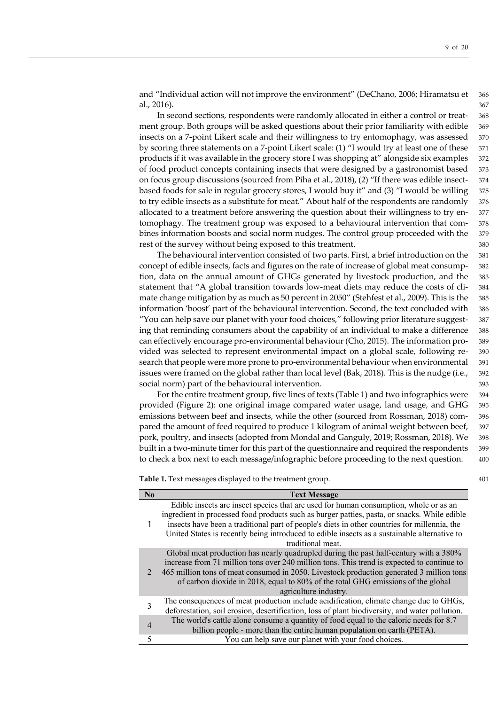and "Individual action will not improve the environment" (DeChano, 2006; Hiramatsu et 366 al., 2016). 367

In second sections, respondents were randomly allocated in either a control or treat- 368 ment group. Both groups will be asked questions about their prior familiarity with edible 369 insects on a 7-point Likert scale and their willingness to try entomophagy, was assessed 370 by scoring three statements on a 7-point Likert scale: (1) "I would try at least one of these 371 products if it was available in the grocery store I was shopping at" alongside six examples 372 of food product concepts containing insects that were designed by a gastronomist based 373 on focus group discussions (sourced from Piha et al., 2018), (2) "If there was edible insect- 374 based foods for sale in regular grocery stores, I would buy it" and (3) "I would be willing 375 to try edible insects as a substitute for meat." About half of the respondents are randomly 376 allocated to a treatment before answering the question about their willingness to try en- 377 tomophagy. The treatment group was exposed to a behavioural intervention that com- 378 bines information boosts and social norm nudges. The control group proceeded with the 379 rest of the survey without being exposed to this treatment.  $380$ 

The behavioural intervention consisted of two parts. First, a brief introduction on the 381 concept of edible insects, facts and figures on the rate of increase of global meat consump- 382 tion, data on the annual amount of GHGs generated by livestock production, and the 383 statement that "A global transition towards low-meat diets may reduce the costs of cli- 384 mate change mitigation by as much as 50 percent in 2050" (Stehfest et al., 2009). This is the 385 information 'boost' part of the behavioural intervention. Second, the text concluded with 386 "You can help save our planet with your food choices," following prior literature suggest- 387 ing that reminding consumers about the capability of an individual to make a difference 388 can effectively encourage pro-environmental behaviour (Cho, 2015). The information pro- 389 vided was selected to represent environmental impact on a global scale, following re- 390 search that people were more prone to pro-environmental behaviour when environmental 391 issues were framed on the global rather than local level (Bak, 2018). This is the nudge (i.e., 392 social norm) part of the behavioural intervention. 393

For the entire treatment group, five lines of texts (Table 1) and two infographics were 394 provided (Figure 2): one original image compared water usage, land usage, and GHG 395 emissions between beef and insects, while the other (sourced from Rossman, 2018) com- 396 pared the amount of feed required to produce 1 kilogram of animal weight between beef, 397 pork, poultry, and insects (adopted from Mondal and Ganguly, 2019; Rossman, 2018). We 398 built in a two-minute timer for this part of the questionnaire and required the respondents 399 to check a box next to each message/infographic before proceeding to the next question. 400

**Table 1.** Text messages displayed to the treatment group.  $401$ 

| $\mathbf{N}\mathbf{0}$ | <b>Text Message</b>                                                                                                                                                                                                                                                                                                                                                                                        |
|------------------------|------------------------------------------------------------------------------------------------------------------------------------------------------------------------------------------------------------------------------------------------------------------------------------------------------------------------------------------------------------------------------------------------------------|
|                        | Edible insects are insect species that are used for human consumption, whole or as an<br>ingredient in processed food products such as burger patties, pasta, or snacks. While edible<br>insects have been a traditional part of people's diets in other countries for millennia, the<br>United States is recently being introduced to edible insects as a sustainable alternative to<br>traditional meat. |
|                        | Global meat production has nearly quadrupled during the past half-century with a 380%<br>increase from 71 million tons over 240 million tons. This trend is expected to continue to<br>465 million tons of meat consumed in 2050. Livestock production generated 3 million tons<br>of carbon dioxide in 2018, equal to 80% of the total GHG emissions of the global<br>agriculture industry.               |
| 3                      | The consequences of meat production include acidification, climate change due to GHGs,<br>deforestation, soil erosion, desertification, loss of plant biodiversity, and water pollution.                                                                                                                                                                                                                   |
| $\overline{4}$         | The world's cattle alone consume a quantity of food equal to the caloric needs for 8.7<br>billion people - more than the entire human population on earth (PETA).                                                                                                                                                                                                                                          |
| 5                      | You can help save our planet with your food choices.                                                                                                                                                                                                                                                                                                                                                       |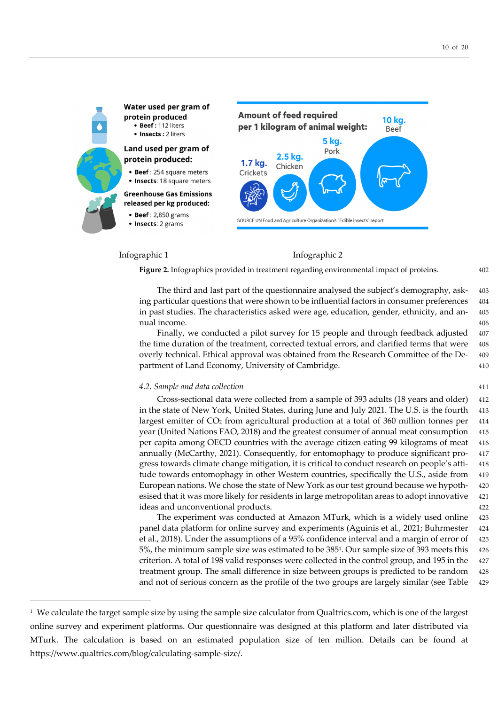

# Infographic 1 Infographic 2

**Figure 2.** Infographics provided in treatment regarding environmental impact of proteins. 402

The third and last part of the questionnaire analysed the subject's demography, ask- 403 ing particular questions that were shown to be influential factors in consumer preferences 404 in past studies. The characteristics asked were age, education, gender, ethnicity, and an- 405 nual income. 406

Finally, we conducted a pilot survey for 15 people and through feedback adjusted 407 the time duration of the treatment, corrected textual errors, and clarified terms that were 408 overly technical. Ethical approval was obtained from the Research Committee of the De- 409 partment of Land Economy, University of Cambridge. 410

### *4.2. Sample and data collection* 411

Cross-sectional data were collected from a sample of 393 adults (18 years and older) 412 in the state of New York, United States, during June and July 2021. The U.S. is the fourth 413 largest emitter of CO<sub>2</sub> from agricultural production at a total of 360 million tonnes per 414 year (United Nations FAO, 2018) and the greatest consumer of annual meat consumption 415 per capita among OECD countries with the average citizen eating 99 kilograms of meat 416 annually (McCarthy, 2021). Consequently, for entomophagy to produce significant pro- 417 gress towards climate change mitigation, it is critical to conduct research on people's atti- 418 tude towards entomophagy in other Western countries, specifically the U.S., aside from 419 European nations. We chose the state of New York as our test ground because we hypoth- 420 esised that it was more likely for residents in large metropolitan areas to adopt innovative 421 ideas and unconventional products. 422

The experiment was conducted at Amazon MTurk, which is a widely used online 423 panel data platform for online survey and experiments (Aguinis et al., 2021; Buhrmester 424 et al., 2018). Under the assumptions of a 95% confidence interval and a margin of error of 425 5%, the minimum sample size was estimated to be 3851. Our sample size of 393 meets this 426 criterion. A total of 198 valid responses were collected in the control group, and 195 in the 427 treatment group. The small difference in size between groups is predicted to be random 428 and not of serious concern as the profile of the two groups are largely similar (see Table 429

<sup>1</sup> We calculate the target sample size by using the sample size calculator from Qualtrics.com, which is one of the largest online survey and experiment platforms. Our questionnaire was designed at this platform and later distributed via MTurk. The calculation is based on an estimated population size of ten million. Details can be found at https://www.qualtrics.com/blog/calculating-sample-size/.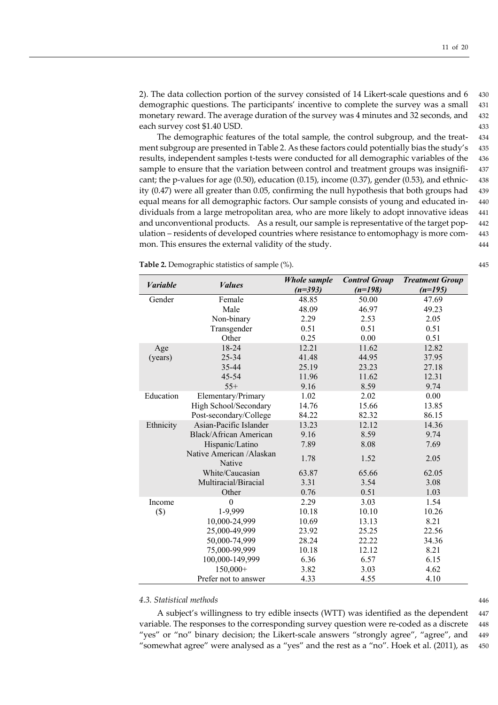2). The data collection portion of the survey consisted of 14 Likert-scale questions and 6 430 demographic questions. The participants' incentive to complete the survey was a small 431 monetary reward. The average duration of the survey was 4 minutes and 32 seconds, and 432 each survey cost \$1.40 USD. 433

The demographic features of the total sample, the control subgroup, and the treat- 434 ment subgroup are presented in Table 2. As these factors could potentially bias the study's 435 results, independent samples t-tests were conducted for all demographic variables of the 436 sample to ensure that the variation between control and treatment groups was insignifi- 437 cant; the p-values for age  $(0.50)$ , education  $(0.15)$ , income  $(0.37)$ , gender  $(0.53)$ , and ethnic- 438 ity (0.47) were all greater than 0.05, confirming the null hypothesis that both groups had 439 equal means for all demographic factors. Our sample consists of young and educated in- 440 dividuals from a large metropolitan area, who are more likely to adopt innovative ideas 441 and unconventional products. As a result, our sample is representative of the target pop- 442 ulation – residents of developed countries where resistance to entomophagy is more com- 443 mon. This ensures the external validity of the study. 444

**Table 2.** Demographic statistics of sample  $%$ ). 445

| <b>Variable</b> | <i>Values</i>                      | <b>Whole sample</b><br>$(n=393)$ | <b>Control Group</b><br>$(n=198)$ | <b>Treatment Group</b><br>$(n=195)$ |
|-----------------|------------------------------------|----------------------------------|-----------------------------------|-------------------------------------|
| Gender          | Female                             | 48.85                            | 50.00                             | 47.69                               |
|                 | Male                               | 48.09                            | 46.97                             | 49.23                               |
|                 | Non-binary                         | 2.29                             | 2.53                              | 2.05                                |
|                 | Transgender                        | 0.51                             | 0.51                              | 0.51                                |
|                 | Other                              | 0.25                             | 0.00                              | 0.51                                |
| Age             | 18-24                              | 12.21                            | 11.62                             | 12.82                               |
| (years)         | $25 - 34$                          | 41.48                            | 44.95                             | 37.95                               |
|                 | 35-44                              | 25.19                            | 23.23                             | 27.18                               |
|                 | $45 - 54$                          | 11.96                            | 11.62                             | 12.31                               |
|                 | $55+$                              | 9.16                             | 8.59                              | 9.74                                |
| Education       | Elementary/Primary                 | 1.02                             | 2.02                              | 0.00                                |
|                 | High School/Secondary              | 14.76                            | 15.66                             | 13.85                               |
|                 | Post-secondary/College             | 84.22                            | 82.32                             | 86.15                               |
| Ethnicity       | Asian-Pacific Islander             | 13.23                            | 12.12                             | 14.36                               |
|                 | Black/African American             | 9.16                             | 8.59                              | 9.74                                |
|                 | Hispanic/Latino                    | 7.89                             | 8.08                              | 7.69                                |
|                 | Native American /Alaskan<br>Native | 1.78                             | 1.52                              | 2.05                                |
|                 | White/Caucasian                    | 63.87                            | 65.66                             | 62.05                               |
|                 | Multiracial/Biracial               | 3.31                             | 3.54                              | 3.08                                |
|                 | Other                              | 0.76                             | 0.51                              | 1.03                                |
| Income          | $\theta$                           | 2.29                             | 3.03                              | 1.54                                |
| $(\$)$          | 1-9,999                            | 10.18                            | 10.10                             | 10.26                               |
|                 | 10,000-24,999                      | 10.69                            | 13.13                             | 8.21                                |
|                 | 25,000-49,999                      | 23.92                            | 25.25                             | 22.56                               |
|                 | 50,000-74,999                      | 28.24                            | 22.22                             | 34.36                               |
|                 | 75,000-99,999                      | 10.18                            | 12.12                             | 8.21                                |
|                 | 100,000-149,999                    | 6.36                             | 6.57                              | 6.15                                |
|                 | 150,000+                           | 3.82                             | 3.03                              | 4.62                                |
|                 | Prefer not to answer               | 4.33                             | 4.55                              | 4.10                                |

# *4.3. Statistical methods* 446

A subject's willingness to try edible insects (WTT) was identified as the dependent 447 variable. The responses to the corresponding survey question were re-coded as a discrete 448 "yes" or "no" binary decision; the Likert-scale answers "strongly agree", "agree", and 449 "somewhat agree" were analysed as a "yes" and the rest as a "no". Hoek et al. (2011), as 450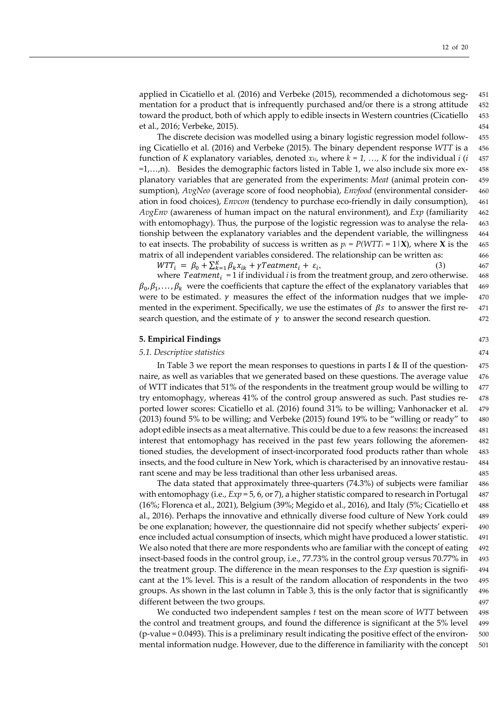applied in Cicatiello et al. (2016) and Verbeke (2015), recommended a dichotomous seg- 451 mentation for a product that is infrequently purchased and/or there is a strong attitude 452 toward the product, both of which apply to edible insects in Western countries (Cicatiello 453 et al., 2016; Verbeke, 2015). 454

The discrete decision was modelled using a binary logistic regression model follow- 455 ing Cicatiello et al. (2016) and Verbeke (2015). The binary dependent response *WTT* is a 456 function of *K* explanatory variables, denoted  $x_{ki}$ , where  $k = 1, ..., K$  for the individual  $i$  ( $i$  457) *=*1,…,n). Besides the demographic factors listed in Table 1, we also include six more ex- 458 planatory variables that are generated from the experiments: *Meat* (animal protein con- 459 sumption), *AvgNeo* (average score of food neophobia), *Envfood* (environmental consider- 460 ation in food choices), *Envcon* (tendency to purchase eco-friendly in daily consumption), 461 *AvgEnv* (awareness of human impact on the natural environment), and *Exp* (familiarity 462 with entomophagy). Thus, the purpose of the logistic regression was to analyse the rela- 463 tionship between the explanatory variables and the dependent variable, the willingness 464 to eat insects. The probability of success is written as  $p_i = P(WTT_i = 1|\mathbf{X})$ , where **X** is the 465 matrix of all independent variables considered. The relationship can be written as: 466

 $WTT_i = \beta_0 + \sum_{k=1}^{K} \beta_k x_{ik} + \gamma Teatment_i + \varepsilon_i,$  (3) 467

where  $Teatment_i = 1$  if individual *i* is from the treatment group, and zero otherwise. 468  $\beta_0, \beta_1, \ldots, \beta_k$  were the coefficients that capture the effect of the explanatory variables that 469 were to be estimated.  $\gamma$  measures the effect of the information nudges that we imple- 470 mented in the experiment. Specifically, we use the estimates of  $\beta s$  to answer the first re- 471 search question, and the estimate of  $\gamma$  to answer the second research question. 472

### **5. Empirical Findings** 473

## *5.1. Descriptive statistics* 474

In Table 3 we report the mean responses to questions in parts I & II of the question-  $475$ naire, as well as variables that we generated based on these questions. The average value 476 of WTT indicates that 51% of the respondents in the treatment group would be willing to  $477$ try entomophagy, whereas 41% of the control group answered as such. Past studies re- 478 ported lower scores: Cicatiello et al. (2016) found 31% to be willing; Vanhonacker et al. 479  $(2013)$  found 5% to be willing; and Verbeke  $(2015)$  found 19% to be "willing or ready" to 480 adopt edible insects as a meat alternative. This could be due to a few reasons: the increased 481 interest that entomophagy has received in the past few years following the aforemen- 482 tioned studies, the development of insect-incorporated food products rather than whole 483 insects, and the food culture in New York, which is characterised by an innovative restau- 484 rant scene and may be less traditional than other less urbanised areas. 485

The data stated that approximately three-quarters  $(74.3%)$  of subjects were familiar 486 with entomophagy (i.e.,  $Exp = 5$ , 6, or 7), a higher statistic compared to research in Portugal 487 (16%; Florenca et al., 2021), Belgium (39%; Megido et al., 2016), and Italy (5%; Cicatiello et 488 al., 2016). Perhaps the innovative and ethnically diverse food culture of New York could 489 be one explanation; however, the questionnaire did not specify whether subjects' experi- 490 ence included actual consumption of insects, which might have produced a lower statistic. 491 We also noted that there are more respondents who are familiar with the concept of eating 492 insect-based foods in the control group, i.e., 77.73% in the control group versus 70.77% in 493 the treatment group. The difference in the mean responses to the *Exp* question is signifi- 494 cant at the 1% level. This is a result of the random allocation of respondents in the two 495 groups. As shown in the last column in Table 3, this is the only factor that is significantly 496 different between the two groups.  $497$ 

We conducted two independent samples *t* test on the mean score of *WTT* between 498 the control and treatment groups, and found the difference is significant at the 5% level 499  $(p-value = 0.0493)$ . This is a preliminary result indicating the positive effect of the environmental information nudge. However, due to the difference in familiarity with the concept 501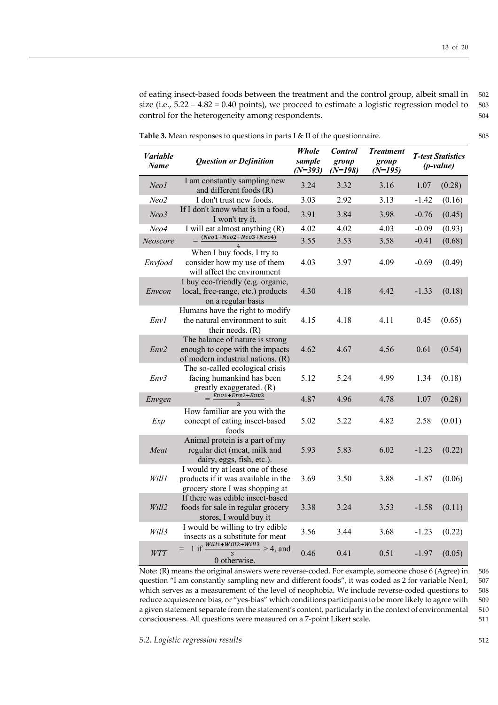of eating insect-based foods between the treatment and the control group, albeit small in 502 size (i.e.,  $5.22 - 4.82 = 0.40$  points), we proceed to estimate a logistic regression model to  $503$ control for the heterogeneity among respondents.  $504$ 

**Table 3.** Mean responses to questions in parts I & II of the questionnaire. 505

| <i>Variable</i><br><b>Name</b> | <b>Question or Definition</b>                                                                               | <b>Whole</b><br>sample<br>$(N=393)$ | <b>Control</b><br>group<br>$(N=198)$ | <b>Treatment</b><br>group<br>$(N=195)$ | <b>T-test Statistics</b><br>$(p-value)$ |        |
|--------------------------------|-------------------------------------------------------------------------------------------------------------|-------------------------------------|--------------------------------------|----------------------------------------|-----------------------------------------|--------|
| Neo1                           | I am constantly sampling new<br>and different foods (R)                                                     | 3.24                                | 3.32                                 | 3.16                                   | 1.07                                    | (0.28) |
| Neo2                           | I don't trust new foods.                                                                                    | 3.03                                | 2.92                                 | 3.13                                   | $-1.42$                                 | (0.16) |
| Neo3                           | If I don't know what is in a food,<br>I won't try it.                                                       | 3.91                                | 3.84                                 | 3.98                                   | $-0.76$                                 | (0.45) |
| Neo4                           | I will eat almost anything (R)                                                                              | 4.02                                | 4.02                                 | 4.03                                   | $-0.09$                                 | (0.93) |
| Neoscore                       | $(Neo1+Neo2+Neo3+Neo4)$                                                                                     | 3.55                                | 3.53                                 | 3.58                                   | $-0.41$                                 | (0.68) |
| Envfood                        | When I buy foods, I try to<br>consider how my use of them<br>will affect the environment                    | 4.03                                | 3.97                                 | 4.09                                   | $-0.69$                                 | (0.49) |
| Envcon                         | I buy eco-friendly (e.g. organic,<br>local, free-range, etc.) products<br>on a regular basis                | 4.30                                | 4.18                                 | 4.42                                   | $-1.33$                                 | (0.18) |
| Env1                           | Humans have the right to modify<br>the natural environment to suit<br>their needs. (R)                      | 4.15                                | 4.18                                 | 4.11                                   | 0.45                                    | (0.65) |
| Env2                           | The balance of nature is strong<br>enough to cope with the impacts<br>of modern industrial nations. (R)     | 4.62                                | 4.67                                 | 4.56                                   | 0.61                                    | (0.54) |
| Env3                           | The so-called ecological crisis<br>facing humankind has been<br>greatly exaggerated. (R)                    | 5.12                                | 5.24                                 | 4.99                                   | 1.34                                    | (0.18) |
| Envgen                         | $=$ $\frac{Env1 + Env2 + Env3}{Env2 + Env3}$                                                                | 4.87                                | 4.96                                 | 4.78                                   | 1.07                                    | (0.28) |
| Exp                            | How familiar are you with the<br>concept of eating insect-based<br>foods                                    | 5.02                                | 5.22                                 | 4.82                                   | 2.58                                    | (0.01) |
| Meat                           | Animal protein is a part of my<br>regular diet (meat, milk and<br>dairy, eggs, fish, etc.).                 | 5.93                                | 5.83                                 | 6.02                                   | $-1.23$                                 | (0.22) |
| Will1                          | I would try at least one of these<br>products if it was available in the<br>grocery store I was shopping at | 3.69                                | 3.50                                 | 3.88                                   | $-1.87$                                 | (0.06) |
| Will2                          | If there was edible insect-based<br>foods for sale in regular grocery<br>stores, I would buy it             | 3.38                                | 3.24                                 | 3.53                                   | $-1.58$                                 | (0.11) |
| Will3                          | I would be willing to try edible<br>insects as a substitute for meat                                        | 3.56                                | 3.44                                 | 3.68                                   | $-1.23$                                 | (0.22) |
| WTT                            | if $\frac{Will1+Will2+Will3}{2} > 4$ , and<br>$\overline{3}$<br>0 otherwise.                                | 0.46                                | 0.41                                 | 0.51                                   | $-1.97$                                 | (0.05) |

Note: (R) means the original answers were reverse-coded. For example, someone chose 6 (Agree) in 506 question "I am constantly sampling new and different foods", it was coded as 2 for variable Neo1, 507 which serves as a measurement of the level of neophobia. We include reverse-coded questions to 508 reduce acquiescence bias, or "yes-bias" which conditions participants to be more likely to agree with 509 a given statement separate from the statement's content, particularly in the context of environmental 510 consciousness. All questions were measured on a 7-point Likert scale. 511

*5.2. Logistic regression results* 512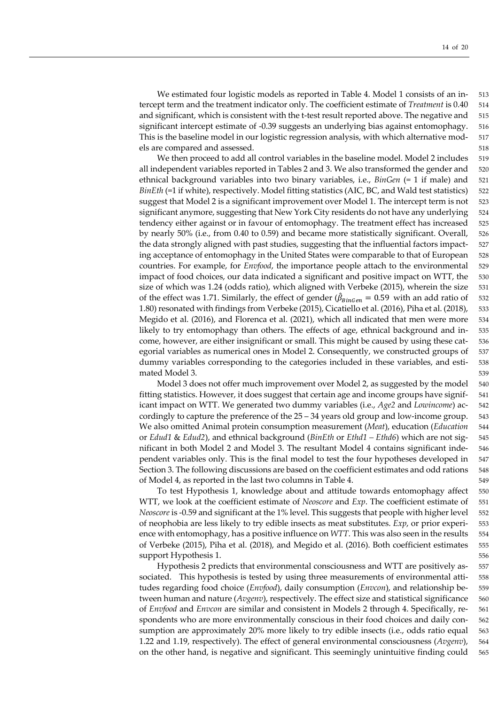We estimated four logistic models as reported in Table 4. Model 1 consists of an in- 513 tercept term and the treatment indicator only. The coefficient estimate of *Treatment* is 0.40 514 and significant, which is consistent with the t-test result reported above. The negative and 515 significant intercept estimate of -0.39 suggests an underlying bias against entomophagy. 516 This is the baseline model in our logistic regression analysis, with which alternative mod- 517 els are compared and assessed. 518

We then proceed to add all control variables in the baseline model. Model 2 includes 519 all independent variables reported in Tables 2 and 3. We also transformed the gender and 520 ethnical background variables into two binary variables, i.e., *BinGen* (= 1 if male) and 521 *BinEth* (=1 if white), respectively. Model fitting statistics (AIC, BC, and Wald test statistics) 522 suggest that Model 2 is a significant improvement over Model 1. The intercept term is not 523 significant anymore, suggesting that New York City residents do not have any underlying 524 tendency either against or in favour of entomophagy. The treatment effect has increased 525 by nearly 50% (i.e., from 0.40 to 0.59) and became more statistically significant. Overall, 526 the data strongly aligned with past studies, suggesting that the influential factors impact- 527 ing acceptance of entomophagy in the United States were comparable to that of European 528 countries. For example, for *Envfood*, the importance people attach to the environmental 529 impact of food choices, our data indicated a significant and positive impact on WTT, the 530 size of which was 1.24 (odds ratio), which aligned with Verbeke (2015), wherein the size 531 of the effect was 1.71. Similarly, the effect of gender ( $\hat{\beta}_{BinGen} = 0.59$  with an add ratio of 532 1.80) resonated with findings from Verbeke (2015), Cicatiello et al. (2016), Piha et al. (2018), 533 Megido et al. (2016), and Florenca et al. (2021), which all indicated that men were more 534 likely to try entomophagy than others. The effects of age, ethnical background and in- 535 come, however, are either insignificant or small. This might be caused by using these cat- 536 egorial variables as numerical ones in Model 2. Consequently, we constructed groups of 537 dummy variables corresponding to the categories included in these variables, and esti- 538 mated Model 3. 539

Model 3 does not offer much improvement over Model 2, as suggested by the model 540 fitting statistics. However, it does suggest that certain age and income groups have signif- 541 icant impact on WTT. We generated two dummy variables (i.e., *Age2* and *Lowincome*) ac- 542 cordingly to capture the preference of the 25 – 34 years old group and low-income group. 543 We also omitted Animal protein consumption measurement (*Meat*), education (*Education* 544 or *Edud1* & *Edud2*), and ethnical background (*BinEth* or *Ethd1 – Ethd6*) which are not sig- 545 nificant in both Model 2 and Model 3. The resultant Model 4 contains significant inde- 546 pendent variables only. This is the final model to test the four hypotheses developed in 547 Section 3. The following discussions are based on the coefficient estimates and odd rations 548 of Model 4, as reported in the last two columns in Table 4. 549

To test Hypothesis 1, knowledge about and attitude towards entomophagy affect 550 WTT, we look at the coefficient estimate of *Neoscore* and *Exp*. The coefficient estimate of 551 *Neoscore* is -0.59 and significant at the 1% level. This suggests that people with higher level 552 of neophobia are less likely to try edible insects as meat substitutes. *Exp*, or prior experi- 553 ence with entomophagy, has a positive influence on *WTT*. This was also seen in the results 554 of Verbeke (2015), Piha et al. (2018), and Megido et al. (2016). Both coefficient estimates 555 support Hypothesis 1. 556

Hypothesis 2 predicts that environmental consciousness and WTT are positively as- 557 sociated. This hypothesis is tested by using three measurements of environmental atti- 558 tudes regarding food choice (*Envfood*), daily consumption (*Envcon*), and relationship be- 559 tween human and nature (*Avgenv*), respectively. The effect size and statistical significance 560 of *Envfood* and *Envcon* are similar and consistent in Models 2 through 4. Specifically, re- 561 spondents who are more environmentally conscious in their food choices and daily con-<br>562 sumption are approximately 20% more likely to try edible insects (i.e., odds ratio equal 563 1.22 and 1.19, respectively). The effect of general environmental consciousness (*Avgenv*), 564 on the other hand, is negative and significant. This seemingly unintuitive finding could 565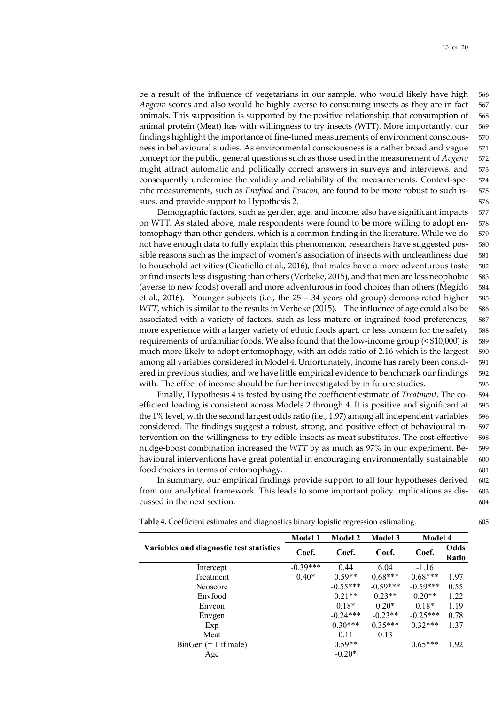be a result of the influence of vegetarians in our sample, who would likely have high 566 *Avgenv* scores and also would be highly averse to consuming insects as they are in fact 567 animals. This supposition is supported by the positive relationship that consumption of 568 animal protein (Meat) has with willingness to try insects (WTT). More importantly, our 569 findings highlight the importance of fine-tuned measurements of environment conscious- 570 ness in behavioural studies. As environmental consciousness is a rather broad and vague 571 concept for the public, general questions such as those used in the measurement of *Avgenv* 572 might attract automatic and politically correct answers in surveys and interviews, and 573 consequently undermine the validity and reliability of the measurements. Context-spe- 574 cific measurements, such as *Envfood* and *Evncon*, are found to be more robust to such is- 575 sues, and provide support to Hypothesis 2.  $\frac{1}{2}$  576

Demographic factors, such as gender, age, and income, also have significant impacts 577 on WTT. As stated above, male respondents were found to be more willing to adopt en- 578 tomophagy than other genders, which is a common finding in the literature. While we do 579 not have enough data to fully explain this phenomenon, researchers have suggested pos- 580 sible reasons such as the impact of women's association of insects with uncleanliness due 581 to household activities (Cicatiello et al., 2016), that males have a more adventurous taste 582 or find insects less disgusting than others (Verbeke, 2015), and that men are less neophobic 583 (averse to new foods) overall and more adventurous in food choices than others (Megido 584 et al., 2016). Younger subjects (i.e., the  $25 - 34$  years old group) demonstrated higher 585 *WTT*, which is similar to the results in Verbeke (2015). The influence of age could also be 586 associated with a variety of factors, such as less mature or ingrained food preferences, 587 more experience with a larger variety of ethnic foods apart, or less concern for the safety 588 requirements of unfamiliar foods. We also found that the low-income group (< \$10,000) is 589 much more likely to adopt entomophagy, with an odds ratio of 2.16 which is the largest 590 among all variables considered in Model 4. Unfortunately, income has rarely been consid- 591 ered in previous studies, and we have little empirical evidence to benchmark our findings 592 with. The effect of income should be further investigated by in future studies.  $593$ 

Finally, Hypothesis 4 is tested by using the coefficient estimate of *Treatment*. The co- 594 efficient loading is consistent across Models 2 through 4. It is positive and significant at 595 the 1% level, with the second largest odds ratio (i.e., 1.97) among all independent variables 596 considered. The findings suggest a robust, strong, and positive effect of behavioural in- 597 tervention on the willingness to try edible insects as meat substitutes. The cost-effective 598 nudge-boost combination increased the *WTT* by as much as 97% in our experiment. Be- 599 havioural interventions have great potential in encouraging environmentally sustainable 600 food choices in terms of entomophagy. 601

In summary, our empirical findings provide support to all four hypotheses derived 602 from our analytical framework. This leads to some important policy implications as dis- 603 cussed in the next section. 604

|                                          | <b>Model 1</b> | <b>Model 2</b> | <b>Model 3</b> | <b>Model 4</b> |               |
|------------------------------------------|----------------|----------------|----------------|----------------|---------------|
| Variables and diagnostic test statistics | Coef.          | Coef.          | Coef.          | Coef.          | Odds<br>Ratio |
| Intercept                                | $-0.39***$     | 0.44           | 6.04           | $-1.16$        |               |
| Treatment                                | $0.40*$        | $0.59**$       | $0.68***$      | $0.68***$      | 1.97          |
| Neoscore                                 |                | $-0.55***$     | $-0.59***$     | $-0.59***$     | 0.55          |
| Envfood                                  |                | $0.21**$       | $0.23**$       | $0.20**$       | 1.22          |
| Envcon                                   |                | $0.18*$        | $0.20*$        | $0.18*$        | 1.19          |
| Envgen                                   |                | $-0.24***$     | $-0.23**$      | $-0.25***$     | 0.78          |
| Exp                                      |                | $0.30***$      | $0.35***$      | $0.32***$      | 1.37          |
| Meat                                     |                | 0.11           | 0.13           |                |               |
| $BinGen (= 1 if male)$                   |                | $0.59**$       |                | $0.65***$      | 1.92          |
| Age                                      |                | $-0.20*$       |                |                |               |

**Table 4.** Coefficient estimates and diagnostics binary logistic regression estimating. 605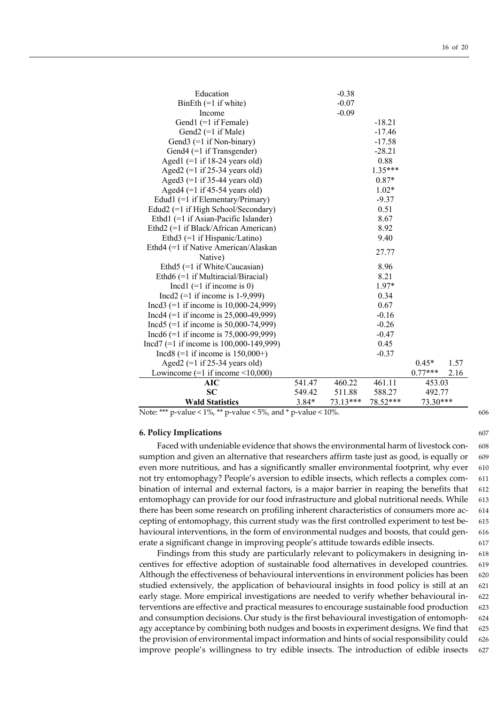| <b>Wald Statistics</b>                                                       | $3.84*$<br>73.13***<br>78.52*** |         | $73.30***$      |           |      |
|------------------------------------------------------------------------------|---------------------------------|---------|-----------------|-----------|------|
| <b>SC</b>                                                                    | 549.42<br>511.88<br>588.27      |         | 492.77          |           |      |
| AIC                                                                          | 541.47                          | 460.22  | 461.11          | 453.03    |      |
| Lowincome $(=1$ if income $\leq 10,000$ )                                    |                                 |         |                 | $0.77***$ | 2.16 |
| Aged2 $(=1$ if 25-34 years old)                                              |                                 |         |                 | $0.45*$   | 1.57 |
| Incd8 (=1 if income is $150,000+$ )                                          |                                 |         | $-0.37$         |           |      |
| Incd7 $(=1$ if income is 100,000-149,999)                                    |                                 |         | 0.45            |           |      |
| Incd6 $(=1$ if income is 75,000-99,999)                                      |                                 |         | $-0.47$         |           |      |
| Incd5 $(=1$ if income is 50,000-74,999)                                      |                                 |         | $-0.26$         |           |      |
| Incd4 $(=1$ if income is 25,000-49,999)                                      |                                 |         | $-0.16$         |           |      |
| Incd3 $(=1$ if income is 10,000-24,999)                                      |                                 |         | 0.67            |           |      |
| Incd2 $(=1$ if income is 1-9,999)                                            |                                 |         | 0.34            |           |      |
| Incd1 $(=1$ if income is 0)                                                  |                                 |         | $1.97*$         |           |      |
| Ethd6 (=1 if Multiracial/Biracial)                                           |                                 |         | 8.21            |           |      |
| Ethd5 $(=1$ if White/Caucasian)                                              |                                 |         | 8.96            |           |      |
| Native)                                                                      |                                 |         | 27.77           |           |      |
| Ethd4 (=1 if Native American/Alaskan                                         |                                 |         |                 |           |      |
| Ethd3 $(=1$ if Hispanic/Latino)                                              |                                 |         | 9.40            |           |      |
| Ethd1 (=1 if Asian-Pacific Islander)<br>Ethd2 (=1 if Black/African American) |                                 |         | 8.92            |           |      |
| Edud2 (=1 if High School/Secondary)                                          |                                 |         | 8.67            |           |      |
| Edud1 $(=1$ if Elementary/Primary)                                           |                                 |         | $-9.37$<br>0.51 |           |      |
| Aged4 $(=1$ if 45-54 years old)                                              |                                 |         | $1.02*$         |           |      |
| Aged3 $(=1$ if 35-44 years old)                                              |                                 |         | $0.87*$         |           |      |
| Aged2 $(=1$ if 25-34 years old)                                              |                                 |         | 1.35***         |           |      |
| Aged1 $(=1$ if 18-24 years old)                                              |                                 |         | 0.88            |           |      |
| Gend4 (=1 if Transgender)                                                    |                                 |         | $-28.21$        |           |      |
| Gend $3$ (=1 if Non-binary)                                                  |                                 |         | $-17.58$        |           |      |
| Gend $2$ (=1 if Male)                                                        |                                 |         | $-17.46$        |           |      |
| Gend1 $(=1$ if Female)                                                       |                                 |         | $-18.21$        |           |      |
| Income                                                                       |                                 | $-0.09$ |                 |           |      |
| BinEth $(=1$ if white)                                                       |                                 | $-0.07$ |                 |           |      |
| Education                                                                    |                                 | $-0.38$ |                 |           |      |
|                                                                              |                                 |         |                 |           |      |

Note: \*\*\*  $p$ -value < 1%, \*\*  $p$ -value < 5%, and \*  $p$ -value < 10%.

# **6. Policy Implications** 607

Faced with undeniable evidence that shows the environmental harm of livestock con- 608 sumption and given an alternative that researchers affirm taste just as good, is equally or  $609$ even more nutritious, and has a significantly smaller environmental footprint, why ever 610 not try entomophagy? People's aversion to edible insects, which reflects a complex com- 611 bination of internal and external factors, is a major barrier in reaping the benefits that 612 entomophagy can provide for our food infrastructure and global nutritional needs. While  $613$ there has been some research on profiling inherent characteristics of consumers more ac- 614 cepting of entomophagy, this current study was the first controlled experiment to test be- 615 havioural interventions, in the form of environmental nudges and boosts, that could gen-<br>616 erate a significant change in improving people's attitude towards edible insects. 617

Findings from this study are particularly relevant to policymakers in designing in- 618 centives for effective adoption of sustainable food alternatives in developed countries. 619 Although the effectiveness of behavioural interventions in environment policies has been 620 studied extensively, the application of behavioural insights in food policy is still at an 621 early stage. More empirical investigations are needed to verify whether behavioural in- 622 terventions are effective and practical measures to encourage sustainable food production 623 and consumption decisions. Our study is the first behavioural investigation of entomoph- 624 agy acceptance by combining both nudges and boosts in experiment designs. We find that  $625$ the provision of environmental impact information and hints of social responsibility could  $626$ improve people's willingness to try edible insects. The introduction of edible insects 627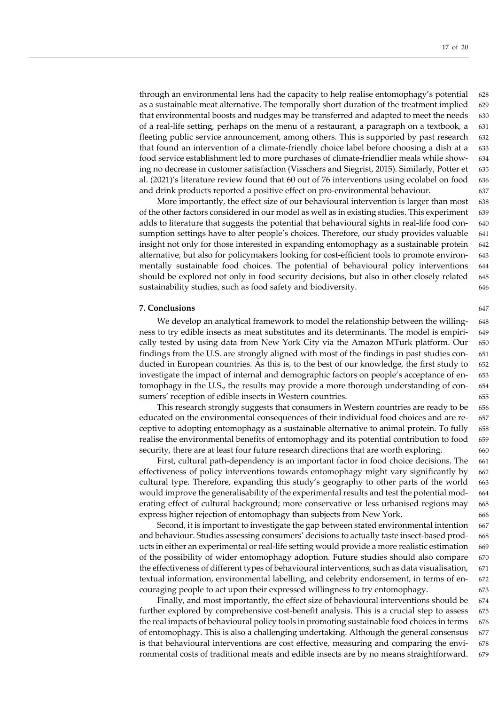through an environmental lens had the capacity to help realise entomophagy's potential 628 as a sustainable meat alternative. The temporally short duration of the treatment implied 629 that environmental boosts and nudges may be transferred and adapted to meet the needs 630 of a real-life setting, perhaps on the menu of a restaurant, a paragraph on a textbook, a 631 fleeting public service announcement, among others. This is supported by past research 632 that found an intervention of a climate-friendly choice label before choosing a dish at a 633 food service establishment led to more purchases of climate-friendlier meals while show- 634 ing no decrease in customer satisfaction (Visschers and Siegrist, 2015). Similarly, Potter et 635 al. (2021)'s literature review found that 60 out of 76 interventions using ecolabel on food 636 and drink products reported a positive effect on pro-environmental behaviour. 637

More importantly, the effect size of our behavioural intervention is larger than most 638 of the other factors considered in our model as well as in existing studies. This experiment 639 adds to literature that suggests the potential that behavioural sights in real-life food con- 640 sumption settings have to alter people's choices. Therefore, our study provides valuable 641 insight not only for those interested in expanding entomophagy as a sustainable protein 642 alternative, but also for policymakers looking for cost-efficient tools to promote environ- 643 mentally sustainable food choices. The potential of behavioural policy interventions 644 should be explored not only in food security decisions, but also in other closely related 645 sustainability studies, such as food safety and biodiversity. 646

# **7. Conclusions** 647

We develop an analytical framework to model the relationship between the willing- 648 ness to try edible insects as meat substitutes and its determinants. The model is empiri- 649 cally tested by using data from New York City via the Amazon MTurk platform. Our 650 findings from the U.S. are strongly aligned with most of the findings in past studies con- 651 ducted in European countries. As this is, to the best of our knowledge, the first study to  $652$ investigate the impact of internal and demographic factors on people's acceptance of en- 653 tomophagy in the U.S., the results may provide a more thorough understanding of con- 654 sumers' reception of edible insects in Western countries. 655

This research strongly suggests that consumers in Western countries are ready to be 656 educated on the environmental consequences of their individual food choices and are re- 657 ceptive to adopting entomophagy as a sustainable alternative to animal protein. To fully  $658$ realise the environmental benefits of entomophagy and its potential contribution to food 659 security, there are at least four future research directions that are worth exploring. 660

First, cultural path-dependency is an important factor in food choice decisions. The 661 effectiveness of policy interventions towards entomophagy might vary significantly by 662 cultural type. Therefore, expanding this study's geography to other parts of the world 663 would improve the generalisability of the experimental results and test the potential mod- 664 erating effect of cultural background; more conservative or less urbanised regions may 665 express higher rejection of entomophagy than subjects from New York. 666

Second, it is important to investigate the gap between stated environmental intention 667 and behaviour. Studies assessing consumers' decisions to actually taste insect-based prod- 668 ucts in either an experimental or real-life setting would provide a more realistic estimation 669 of the possibility of wider entomophagy adoption. Future studies should also compare 670 the effectiveness of different types of behavioural interventions, such as data visualisation, 671 textual information, environmental labelling, and celebrity endorsement, in terms of en- 672 couraging people to act upon their expressed willingness to try entomophagy. 673

Finally, and most importantly, the effect size of behavioural interventions should be 674 further explored by comprehensive cost-benefit analysis. This is a crucial step to assess 675 the real impacts of behavioural policy tools in promoting sustainable food choices in terms 676 of entomophagy. This is also a challenging undertaking. Although the general consensus 677 is that behavioural interventions are cost effective, measuring and comparing the envi- 678 ronmental costs of traditional meats and edible insects are by no means straightforward. 679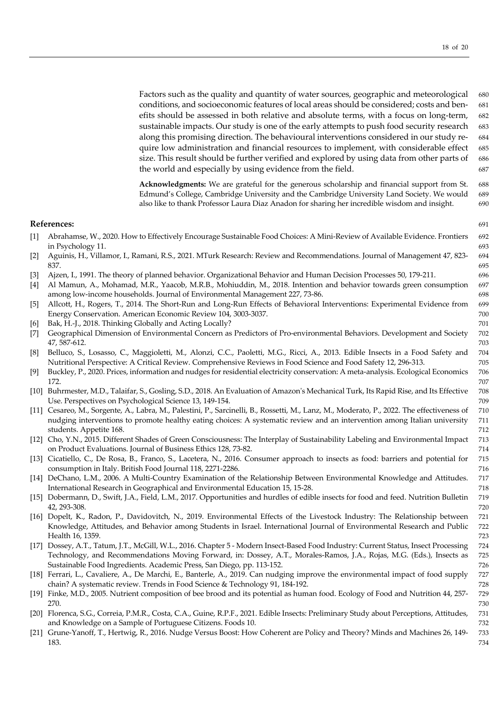Factors such as the quality and quantity of water sources, geographic and meteorological 680 conditions, and socioeconomic features of local areas should be considered; costs and ben- 681 efits should be assessed in both relative and absolute terms, with a focus on long-term, 682 sustainable impacts. Our study is one of the early attempts to push food security research 683 along this promising direction. The behavioural interventions considered in our study re- 684 quire low administration and financial resources to implement, with considerable effect 685 size. This result should be further verified and explored by using data from other parts of 686 the world and especially by using evidence from the field. 687

**Acknowledgments:** We are grateful for the generous scholarship and financial support from St. 688 Edmund's College, Cambridge University and the Cambridge University Land Society. We would 689 also like to thank Professor Laura Diaz Anadon for sharing her incredible wisdom and insight. 690

### **References:** 691

- [1] Abrahamse, W., 2020. How to Effectively Encourage Sustainable Food Choices: A Mini-Review of Available Evidence. Frontiers 692 in Psychology 11. 693
- [2] Aguinis, H., Villamor, I., Ramani, R.S., 2021. MTurk Research: Review and Recommendations. Journal of Management 47, 823- 694 837. 695
- [3] Ajzen, I., 1991. The theory of planned behavior. Organizational Behavior and Human Decision Processes 50, 179-211. 696
- [4] Al Mamun, A., Mohamad, M.R., Yaacob, M.R.B., Mohiuddin, M., 2018. Intention and behavior towards green consumption 697 among low-income households. Journal of Environmental Management 227, 73-86. 698
- [5] Allcott, H., Rogers, T., 2014. The Short-Run and Long-Run Effects of Behavioral Interventions: Experimental Evidence from 699 Energy Conservation. American Economic Review 104, 3003-3037. The contract of the contract of the contract of the conomic Review 104, 3003-3037.
- [6] Bak, H.-J., 2018. Thinking Globally and Acting Locally? 701
- [7] Geographical Dimension of Environmental Concern as Predictors of Pro-environmental Behaviors. Development and Society 702 47, 587-612. 703
- [8] Belluco, S., Losasso, C., Maggioletti, M., Alonzi, C.C., Paoletti, M.G., Ricci, A., 2013. Edible Insects in a Food Safety and 704 Nutritional Perspective: A Critical Review. Comprehensive Reviews in Food Science and Food Safety 12, 296-313. 705
- [9] Buckley, P., 2020. Prices, information and nudges for residential electricity conservation: A meta-analysis. Ecological Economics 706 172. 707
- [10] Buhrmester, M.D., Talaifar, S., Gosling, S.D., 2018. An Evaluation of Amazon's Mechanical Turk, Its Rapid Rise, and Its Effective 708 Use. Perspectives on Psychological Science 13, 149-154. The matrix of the control of the control of the control of the control of the control of the control of the control of the control of the control of the control of th
- [11] Cesareo, M., Sorgente, A., Labra, M., Palestini, P., Sarcinelli, B., Rossetti, M., Lanz, M., Moderato, P., 2022. The effectiveness of 710 nudging interventions to promote healthy eating choices: A systematic review and an intervention among Italian university 711 students. Appetite 168. 712
- [12] Cho, Y.N., 2015. Different Shades of Green Consciousness: The Interplay of Sustainability Labeling and Environmental Impact 713 on Product Evaluations. Journal of Business Ethics 128, 73-82. 714
- [13] Cicatiello, C., De Rosa, B., Franco, S., Lacetera, N., 2016. Consumer approach to insects as food: barriers and potential for 715 consumption in Italy. British Food Journal 118, 2271-2286. The consumption in Italy. British Food Journal 118, 2271-2286.
- [14] DeChano, L.M., 2006. A Multi-Country Examination of the Relationship Between Environmental Knowledge and Attitudes. 717 International Research in Geographical and Environmental Education 15, 15-28. 718
- [15] Dobermann, D., Swift, J.A., Field, L.M., 2017. Opportunities and hurdles of edible insects for food and feed. Nutrition Bulletin 719 42, 293-308. 720
- [16] Dopelt, K., Radon, P., Davidovitch, N., 2019. Environmental Effects of the Livestock Industry: The Relationship between 721 Knowledge, Attitudes, and Behavior among Students in Israel. International Journal of Environmental Research and Public 722 Health 16, 1359. 723
- [17] Dossey, A.T., Tatum, J.T., McGill, W.L., 2016. Chapter 5 Modern Insect-Based Food Industry: Current Status, Insect Processing 724 Technology, and Recommendations Moving Forward, in: Dossey, A.T., Morales-Ramos, J.A., Rojas, M.G. (Eds.), Insects as 725 Sustainable Food Ingredients. Academic Press, San Diego, pp. 113-152.
- [18] Ferrari, L., Cavaliere, A., De Marchi, E., Banterle, A., 2019. Can nudging improve the environmental impact of food supply 727 chain? A systematic review. Trends in Food Science & Technology 91, 184-192. 728
- [19] Finke, M.D., 2005. Nutrient composition of bee brood and its potential as human food. Ecology of Food and Nutrition 44, 257- 729 270. 730
- [20] Florenca, S.G., Correia, P.M.R., Costa, C.A., Guine, R.P.F., 2021. Edible Insects: Preliminary Study about Perceptions, Attitudes, 731 and Knowledge on a Sample of Portuguese Citizens. Foods 10. *T32 T32*
- [21] Grune-Yanoff, T., Hertwig, R., 2016. Nudge Versus Boost: How Coherent are Policy and Theory? Minds and Machines 26, 149- 733 183. 734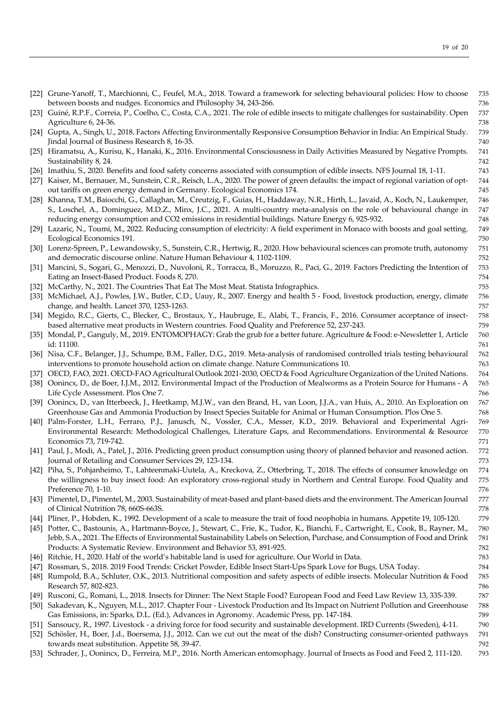|        | [22] Grune-Yanoff, T., Marchionni, C., Feufel, M.A., 2018. Toward a framework for selecting behavioural policies: How to choose                                                                 | 735        |
|--------|-------------------------------------------------------------------------------------------------------------------------------------------------------------------------------------------------|------------|
|        | between boosts and nudges. Economics and Philosophy 34, 243-266.                                                                                                                                | 736        |
|        | [23] Guiné, R.P.F., Correia, P., Coelho, C., Costa, C.A., 2021. The role of edible insects to mitigate challenges for sustainability. Open                                                      | 737        |
|        | Agriculture 6, 24-36.                                                                                                                                                                           | 738        |
|        | [24] Gupta, A., Singh, U., 2018. Factors Affecting Environmentally Responsive Consumption Behavior in India: An Empirical Study.                                                                | 739        |
|        | Jindal Journal of Business Research 8, 16-35.                                                                                                                                                   | 740        |
|        | [25] Hiramatsu, A., Kurisu, K., Hanaki, K., 2016. Environmental Consciousness in Daily Activities Measured by Negative Prompts.                                                                 | 741        |
|        | Sustainability 8, 24.                                                                                                                                                                           | 742        |
|        | [26] Imathiu, S., 2020. Benefits and food safety concerns associated with consumption of edible insects. NFS Journal 18, 1-11.                                                                  | 743        |
|        | [27] Kaiser, M., Bernauer, M., Sunstein, C.R., Reisch, L.A., 2020. The power of green defaults: the impact of regional variation of opt-                                                        | 744        |
|        | out tariffs on green energy demand in Germany. Ecological Economics 174.                                                                                                                        | 745        |
|        | [28] Khanna, T.M., Baiocchi, G., Callaghan, M., Creutzig, F., Guias, H., Haddaway, N.R., Hirth, L., Javaid, A., Koch, N., Laukemper,                                                            | 746        |
|        | S., Loschel, A., Dominguez, M.D.Z., Minx, J.C., 2021. A multi-country meta-analysis on the role of behavioural change in                                                                        | 747        |
|        | reducing energy consumption and CO2 emissions in residential buildings. Nature Energy 6, 925-932.                                                                                               | 748        |
|        | [29] Lazaric, N., Toumi, M., 2022. Reducing consumption of electricity: A field experiment in Monaco with boosts and goal setting.                                                              | 749        |
|        | Ecological Economics 191.                                                                                                                                                                       | 750        |
|        | [30] Lorenz-Spreen, P., Lewandowsky, S., Sunstein, C.R., Hertwig, R., 2020. How behavioural sciences can promote truth, autonomy                                                                | 751        |
|        | and democratic discourse online. Nature Human Behaviour 4, 1102-1109.                                                                                                                           | 752        |
| [31]   | Mancini, S., Sogari, G., Menozzi, D., Nuvoloni, R., Torracca, B., Moruzzo, R., Paci, G., 2019. Factors Predicting the Intention of                                                              | 753        |
|        | Eating an Insect-Based Product. Foods 8, 270.                                                                                                                                                   | 754        |
|        | [32] McCarthy, N., 2021. The Countries That Eat The Most Meat. Statista Infographics.                                                                                                           | 755        |
|        | [33] McMichael, A.J., Powles, J.W., Butler, C.D., Uauy, R., 2007. Energy and health 5 - Food, livestock production, energy, climate                                                             | 756        |
|        | change, and health. Lancet 370, 1253-1263.                                                                                                                                                      | 757        |
|        | [34] Megido, R.C., Gierts, C., Blecker, C., Brostaux, Y., Haubruge, E., Alabi, T., Francis, F., 2016. Consumer acceptance of insect-                                                            | 758        |
|        | based alternative meat products in Western countries. Food Quality and Preference 52, 237-243.                                                                                                  | 759        |
|        | [35] Mondal, P., Ganguly, M., 2019. ENTOMOPHAGY: Grab the grub for a better future. Agriculture & Food: e-Newsletter 1, Article                                                                 | 760        |
|        | id: 11100.                                                                                                                                                                                      | 761        |
|        | [36] Nisa, C.F., Belanger, J.J., Schumpe, B.M., Faller, D.G., 2019. Meta-analysis of randomised controlled trials testing behavioural                                                           | 762        |
|        | interventions to promote household action on climate change. Nature Communications 10.                                                                                                          | 763        |
|        | [37] OECD, FAO, 2021. OECD-FAO Agricultural Outlook 2021-2030, OECD & Food Agriculture Organization of the United Nations.                                                                      | 764        |
|        | [38] Oonincx, D., de Boer, I.J.M., 2012. Environmental Impact of the Production of Mealworms as a Protein Source for Humans - A                                                                 | 765        |
|        | Life Cycle Assessment. Plos One 7.                                                                                                                                                              | 766        |
|        | [39] Oonincx, D., van Itterbeeck, J., Heetkamp, M.J.W., van den Brand, H., van Loon, J.J.A., van Huis, A., 2010. An Exploration on                                                              | 767        |
|        | Greenhouse Gas and Ammonia Production by Insect Species Suitable for Animal or Human Consumption. Plos One 5.                                                                                   | 768        |
|        | [40] Palm-Forster, L.H., Ferraro, P.J., Janusch, N., Vossler, C.A., Messer, K.D., 2019. Behavioral and Experimental Agri-                                                                       | 769        |
|        | Environmental Research: Methodological Challenges, Literature Gaps, and Recommendations. Environmental & Resource<br>Economics 73, 719-742.                                                     | 770<br>771 |
|        |                                                                                                                                                                                                 | 772        |
|        | [41] Paul, J., Modi, A., Patel, J., 2016. Predicting green product consumption using theory of planned behavior and reasoned action.<br>Journal of Retailing and Consumer Services 29, 123-134. | 773        |
|        | [42] Piha, S., Pohjanheimo, T., Lahteenmaki-Uutela, A., Kreckova, Z., Otterbring, T., 2018. The effects of consumer knowledge on                                                                | 774        |
|        | the willingness to buy insect food: An exploratory cross-regional study in Northern and Central Europe. Food Quality and                                                                        | 775        |
|        | Preference 70, 1-10.                                                                                                                                                                            | 776        |
|        | [43] Pimentel, D., Pimentel, M., 2003. Sustainability of meat-based and plant-based diets and the environment. The American Journal                                                             | 777        |
|        | of Clinical Nutrition 78, 660S-663S.                                                                                                                                                            | 778        |
|        | [44] Pliner, P., Hobden, K., 1992. Development of a scale to measure the trait of food neophobia in humans. Appetite 19, 105-120.                                                               | 779        |
|        | [45] Potter, C., Bastounis, A., Hartmann-Boyce, J., Stewart, C., Frie, K., Tudor, K., Bianchi, F., Cartwright, E., Cook, B., Rayner, M.,                                                        | 780        |
|        | Jebb, S.A., 2021. The Effects of Environmental Sustainability Labels on Selection, Purchase, and Consumption of Food and Drink                                                                  | 781        |
|        | Products: A Systematic Review. Environment and Behavior 53, 891-925.                                                                                                                            | 782        |
|        | [46] Ritchie, H., 2020. Half of the world's habitable land is used for agriculture. Our World in Data.                                                                                          | 783        |
| [47]   | Rossman, S., 2018. 2019 Food Trends: Cricket Powder, Edible Insect Start-Ups Spark Love for Bugs, USA Today.                                                                                    | 784        |
|        | [48] Rumpold, B.A., Schluter, O.K., 2013. Nutritional composition and safety aspects of edible insects. Molecular Nutrition & Food                                                              | 785        |
|        | Research 57, 802-823.                                                                                                                                                                           | 786        |
|        | [49] Rusconi, G., Romani, L., 2018. Insects for Dinner: The Next Staple Food? European Food and Feed Law Review 13, 335-339.                                                                    | 787        |
|        | [50] Sakadevan, K., Nguyen, M.L., 2017. Chapter Four - Livestock Production and Its Impact on Nutrient Pollution and Greenhouse                                                                 | 788        |
|        | Gas Emissions, in: Sparks, D.L. (Ed.), Advances in Agronomy. Academic Press, pp. 147-184.                                                                                                       | 789        |
|        | [51] Sansoucy, R., 1997. Livestock - a driving force for food security and sustainable development. IRD Currents (Sweden), 4-11.                                                                | 790        |
| $[52]$ | Schösler, H., Boer, J.d., Boersema, J.J., 2012. Can we cut out the meat of the dish? Constructing consumer-oriented pathways                                                                    | 791        |

towards meat substitution. Appetite 58, 39-47. 792 [53] Schrader, J., Oonincx, D., Ferreira, M.P., 2016. North American entomophagy. Journal of Insects as Food and Feed 2, 111-120. 793